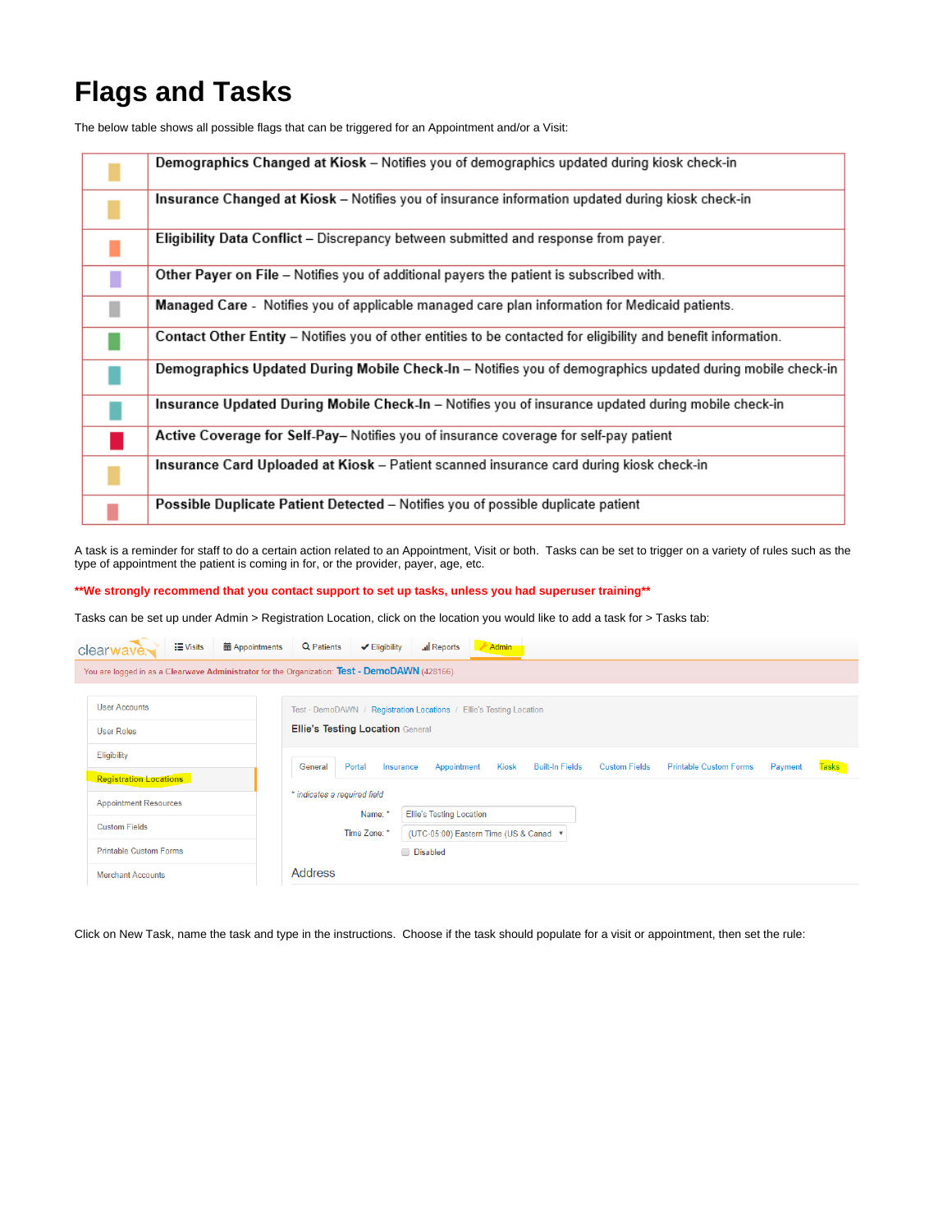## **Flags and Tasks**

The below table shows all possible flags that can be triggered for an Appointment and/or a Visit:

| Demographics Changed at Kiosk - Notifies you of demographics updated during kiosk check-in                     |
|----------------------------------------------------------------------------------------------------------------|
| Insurance Changed at Kiosk - Notifies you of insurance information updated during kiosk check-in               |
| Eligibility Data Conflict - Discrepancy between submitted and response from payer.                             |
| Other Payer on File - Notifies you of additional payers the patient is subscribed with.                        |
| Managed Care - Notifies you of applicable managed care plan information for Medicaid patients.                 |
| Contact Other Entity - Notifies you of other entities to be contacted for eligibility and benefit information. |
| Demographics Updated During Mobile Check-In - Notifies you of demographics updated during mobile check-in      |
| Insurance Updated During Mobile Check-In - Notifies you of insurance updated during mobile check-in            |
| Active Coverage for Self-Pay- Notifies you of insurance coverage for self-pay patient                          |
| Insurance Card Uploaded at Kiosk - Patient scanned insurance card during kiosk check-in                        |
| Possible Duplicate Patient Detected - Notifies you of possible duplicate patient                               |

A task is a reminder for staff to do a certain action related to an Appointment, Visit or both. Tasks can be set to trigger on a variety of rules such as the type of appointment the patient is coming in for, or the provider, payer, age, etc.

**\*\*We strongly recommend that you contact support to set up tasks, unless you had superuser training\*\***

Tasks can be set up under Admin > Registration Location, click on the location you would like to add a task for > Tasks tab:

|                          | clearwave.                                                                                     | <b>E</b> Visits | <b>■ Appointments</b>                                                                                          | Q Patients                                                                                                                                                  | $\blacktriangleright$ Eligibility | all Reports | Admin |  |  |  |              |  |
|--------------------------|------------------------------------------------------------------------------------------------|-----------------|----------------------------------------------------------------------------------------------------------------|-------------------------------------------------------------------------------------------------------------------------------------------------------------|-----------------------------------|-------------|-------|--|--|--|--------------|--|
|                          | You are logged in as a Clearwave Administrator for the Organization: Test - DemoDAWN (428166). |                 |                                                                                                                |                                                                                                                                                             |                                   |             |       |  |  |  |              |  |
|                          | <b>User Accounts</b>                                                                           |                 |                                                                                                                |                                                                                                                                                             |                                   |             |       |  |  |  |              |  |
| <b>User Roles</b>        |                                                                                                |                 | Test - DemoDAWN / Registration Locations / Ellie's Testing Location<br><b>Ellie's Testing Location General</b> |                                                                                                                                                             |                                   |             |       |  |  |  |              |  |
|                          | Eligibility                                                                                    |                 |                                                                                                                |                                                                                                                                                             |                                   |             |       |  |  |  |              |  |
|                          | <b>Registration Locations</b>                                                                  |                 |                                                                                                                | <b>Printable Custom Forms</b><br>Portal<br><b>Kiosk</b><br><b>Built-In Fields</b><br><b>Custom Fields</b><br>Appointment<br>Payment<br>General<br>Insurance |                                   |             |       |  |  |  | <b>Tasks</b> |  |
|                          | <b>Appointment Resources</b><br><b>Custom Fields</b>                                           |                 | * indicates a required field                                                                                   |                                                                                                                                                             |                                   |             |       |  |  |  |              |  |
|                          |                                                                                                |                 | <b>Ellie's Testing Location</b><br>Name: *<br>Time Zone: *<br>(UTC-05:00) Eastern Time (US & Canad v           |                                                                                                                                                             |                                   |             |       |  |  |  |              |  |
|                          | <b>Printable Custom Forms</b>                                                                  |                 |                                                                                                                |                                                                                                                                                             |                                   | Disabled    |       |  |  |  |              |  |
| <b>Merchant Accounts</b> |                                                                                                |                 |                                                                                                                | <b>Address</b>                                                                                                                                              |                                   |             |       |  |  |  |              |  |

Click on New Task, name the task and type in the instructions. Choose if the task should populate for a visit or appointment, then set the rule: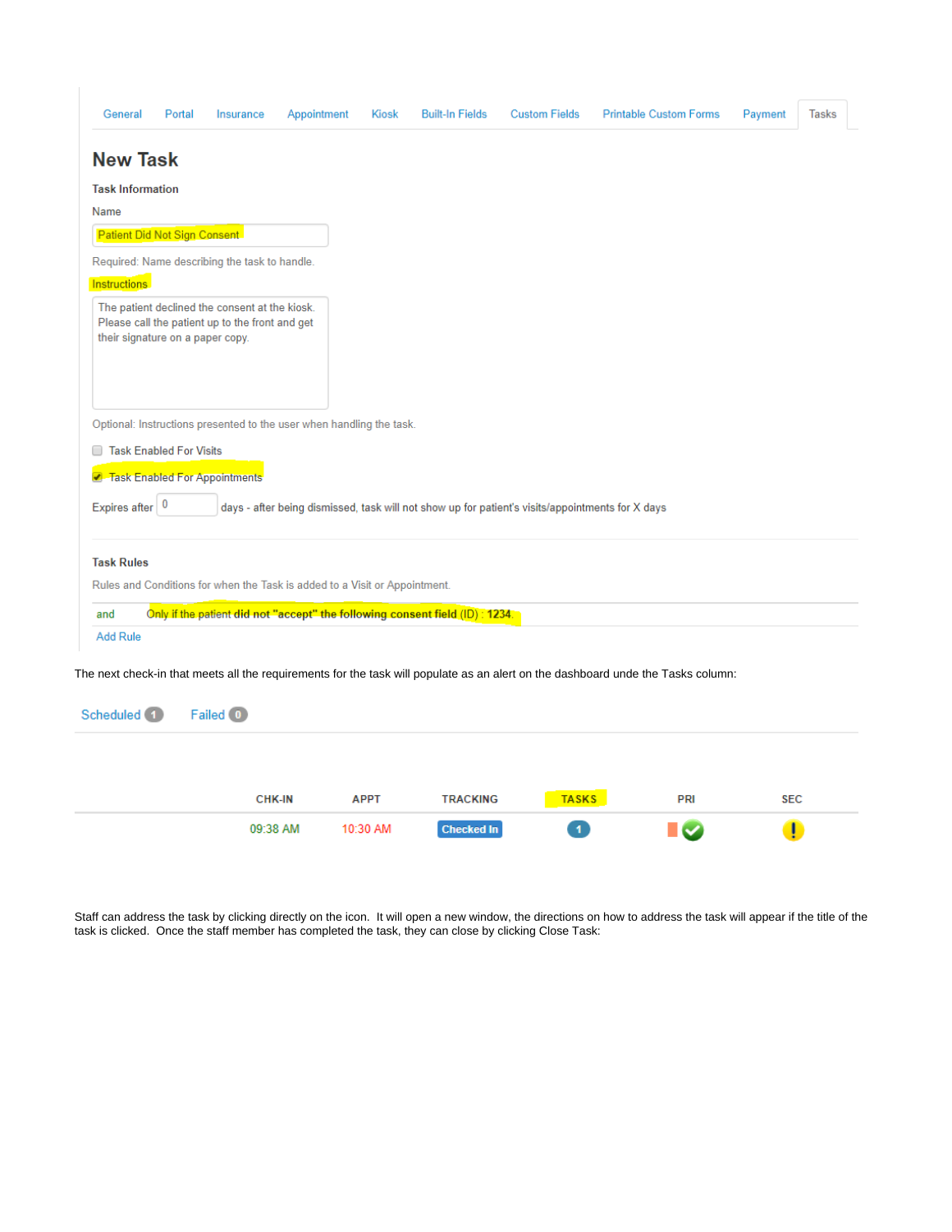| General                          | Portal<br>Insurance                                                                                            | Appointment   | Kiosk       | <b>Built-In Fields</b>                                                        | <b>Custom Fields</b>                                                                             | <b>Printable Custom Forms</b>                                                                                                    | Payment    | <b>Tasks</b> |
|----------------------------------|----------------------------------------------------------------------------------------------------------------|---------------|-------------|-------------------------------------------------------------------------------|--------------------------------------------------------------------------------------------------|----------------------------------------------------------------------------------------------------------------------------------|------------|--------------|
| <b>New Task</b>                  |                                                                                                                |               |             |                                                                               |                                                                                                  |                                                                                                                                  |            |              |
| <b>Task Information</b>          |                                                                                                                |               |             |                                                                               |                                                                                                  |                                                                                                                                  |            |              |
| <b>Name</b>                      |                                                                                                                |               |             |                                                                               |                                                                                                  |                                                                                                                                  |            |              |
| Patient Did Not Sign Consent     |                                                                                                                |               |             |                                                                               |                                                                                                  |                                                                                                                                  |            |              |
|                                  | Required: Name describing the task to handle.                                                                  |               |             |                                                                               |                                                                                                  |                                                                                                                                  |            |              |
| <b>Instructions</b>              |                                                                                                                |               |             |                                                                               |                                                                                                  |                                                                                                                                  |            |              |
| their signature on a paper copy. | The patient declined the consent at the kiosk.<br>Please call the patient up to the front and get              |               |             |                                                                               |                                                                                                  |                                                                                                                                  |            |              |
| <b>Task Enabled For Visits</b>   | Optional: Instructions presented to the user when handling the task.<br><b>Z</b> Task Enabled For Appointments |               |             |                                                                               |                                                                                                  |                                                                                                                                  |            |              |
| Expires after $ 0$               |                                                                                                                |               |             |                                                                               | days - after being dismissed, task will not show up for patient's visits/appointments for X days |                                                                                                                                  |            |              |
| <b>Task Rules</b>                |                                                                                                                |               |             |                                                                               |                                                                                                  |                                                                                                                                  |            |              |
|                                  | Rules and Conditions for when the Task is added to a Visit or Appointment.                                     |               |             |                                                                               |                                                                                                  |                                                                                                                                  |            |              |
| and                              |                                                                                                                |               |             | Only if the patient did not "accept" the following consent field (ID) : 1234. |                                                                                                  |                                                                                                                                  |            |              |
| <b>Add Rule</b>                  |                                                                                                                |               |             |                                                                               |                                                                                                  |                                                                                                                                  |            |              |
| Scheduled <sup>(1)</sup>         | Failed <sup>0</sup>                                                                                            |               |             |                                                                               |                                                                                                  | The next check-in that meets all the requirements for the task will populate as an alert on the dashboard unde the Tasks column: |            |              |
|                                  |                                                                                                                |               |             |                                                                               |                                                                                                  |                                                                                                                                  |            |              |
|                                  |                                                                                                                | <b>CHK-IN</b> | <b>APPT</b> | <b>TRACKING</b>                                                               | <b>TASKS</b>                                                                                     | PRI                                                                                                                              | <b>SEC</b> |              |

Staff can address the task by clicking directly on the icon. It will open a new window, the directions on how to address the task will appear if the title of the task is clicked. Once the staff member has completed the task, they can close by clicking Close Task:

Checked In

 $\overline{\mathbf{1}}$ 

<u>i v</u>

 $\bullet$ 

09:38 AM

10:30 AM